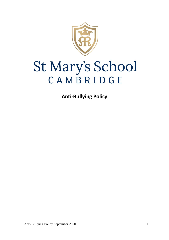

# St Mary's School CAMBRIDGE

**Anti-Bullying Policy**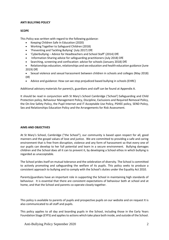## **ANTI BULLYING POLICY**

# **SCOPE**

This Policy was written with regard to the following guidance:

- Keeping Children Safe In Education (2020)
- Working Together to Safeguard Children (2018)
- 'Preventing and Tackling Bullying' (July 2017) DfE
- 'Cyberbullying Advice for Headteachers and School Staff' (2014) DfE
- Information Sharing advice for safeguarding practitioners (July 2018) DfE
- Searching, screening and confiscation: advice for schools (January 2018) DfE
- Relationships education, relationships and sex education and health education guidance (June 2019) DfE
- Sexual violence and sexual harassment between children in schools and colleges (May 2018) DfE
- Advice and guidance: How can we stop prejudiced based bullying in schools (EHRC)

Additional advisory materials for parent/s, guardians and staff can be found at Appendix A.

It should be read in conjunction with St Mary's School Cambridge ('School') Safeguarding and Child Protection policy, Behaviour Management Policy, Discipline, Exclusions and Required Removal Policy, the On-line Safety Policy, the Pupil Internet and IT Acceptable Use Policy, PSHEE policy, SEND Policy, Sex and Relationships Education Policy and the Arrangements for Risk Assessment.

## **AIMS AND OBJECTIVES**

At St Mary's School, Cambridge ("the School"), our community is based upon respect for all, good manners and the gospel values of love and justice. We are committed to providing a safe and caring environment that is free from disruption, violence and any form of harassment so that every one of our pupils can develop to her full potential and learn in a secure environment. Bullying damages children and the School does all it can to prevent it, by developing a School ethos in which bullying is regarded as unacceptable.

The School prides itself on mutual tolerance and the celebration of diversity. The School is committed to actively promoting and safeguarding the welfare of its pupils. This policy seeks to produce a consistent approach to bullying and to comply with the School's duties under the Equality Act 2010.

Parents/guardians have an important role in supporting the School in maintaining high standards of behaviour. It is essential that there are consistent expectations of behaviour both at school and at home, and that the School and parents co-operate closely together.

This policy is available to parents of pupils and prospective pupils on our website and on request It is also communicated to all staff and pupils.

This policy applies to all day and boarding pupils in the School, including those in the Early Years Foundation Stage (EYFS) and applies to actions which take place both inside, and outside of the School.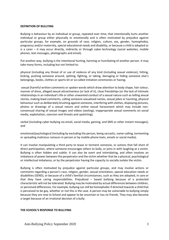#### **DEFINITION OF BULLYING**

Bullying is behaviour by an individual or group, repeated over time, that intentionally hurts another individual or group either physically or emotionally and is often motivated by prejudice against particular groups, for example, on grounds of race, religion, culture, sex, gender, homophobia, pregnancy and/or maternity, special educational needs and disability, or because a child is adopted or is a carer – it may occur directly, indirectly or through cyber-technology (social websites, mobile phones, text messages, photographs and email).

Put another way, bullying is the intentional hurting, harming or humiliating of another person. It may take many forms, including but not limited to:

physical (including any threat of or use of violence of any kind (including sexual violence), hitting, kicking, pushing someone around, spitting, fighting, or taking, damaging or hiding someone else's belongings, books, clothes or sports kit or so-called initiation ceremonies or hazing;

sexual (harmful written comments or spoken words which draw attention to body shape, hair colour, manner of dress, alleged sexual attractiveness (or lack of it), close friendships (or the lack of intimate relationships in an individual's life or other unwanted conduct of a sexual nature such as telling sexual stories, making lewd comments, calling someone sexualised names, sexual jokes or taunting, physical behaviour such as deliberately brushing against someone, interfering with clothes, displaying pictures, photos or drawings of a sexual nature and online sexual harassment which may include nonconsensual sharing of sexual images and videos (sexting); inappropriate sexual comments on social media, exploitation, coercion and threats and upskirting);

verbal (including cyber-bullying via email, social media, gaming, and SMS or other instant messages); and

emotional/psychological (including by excluding the person, being sarcastic, name-calling, tormenting or spreading malicious rumours in person or by mobile phone texts, emails or social media).

It can involve manipulating a third party to tease or torment someone, or actions that fall short of direct participation, where someone encourages others to bully, or joins in with laughing at a victim. Bullying is often hidden and subtle. It can also be overt and intimidating, and often involves an imbalance of power between the perpetrator and the victim whether that be a physical, psychological or intellectual imbalance, or by the perpetrator having the capacity to socially isolate the victim.

Bullying is often motivated by prejudice against particular groups, and may involve actions or comments regarding a person's race, religion, gender, sexual orientation, special education needs or disabilities (SEND), or because of a child's familial circumstances, such as they are adopted, in care or that they have caring responsibilities. Prejudiced – based bullying because of a protected characteristic will not be tolerated. Bullying may be motivated by actual differences between children, or perceived differences. For example, bullying can still be homophobic if directed towards a child that is perceived to be gay, whether or not this is the case. A person may be vulnerable to bullying simply because they are new to School and appear to be uncertain or has no friends. They may also become a target because of an irrational decision of a bully.

## **THE SCHOOL'S RESPONSE TO BULLYING**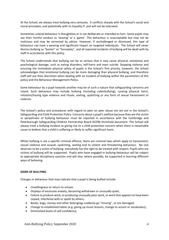At the School, we always treat bullying very seriously. It conflicts sharply with the School's social and moral principles, and potentially with its Equality P, and will not be tolerated.

Sometimes unkind behaviour is thoughtless or is not deliberate or intended to hurt. Some pupils may see their hurtful conduct as 'teasing' or a 'game'. This behaviour is unacceptable but may not be malicious and may be corrected by advice. However, if unchallenged or dismissed, this type of behaviour can have a wearing and significant impact on targeted individuals. The School will never dismiss bullying as "banter" or "horseplay", and all reported incidents of bullying will be dealt with by staff in accordance with this policy.

The School understands that bullying can be so serious that it may cause physical, emotional and psychological damage, such as eating disorders, self-harm and even suicide. Stopping violence and ensuring the immediate physical safety of pupils is the School's first priority, however, the School acknowledges that emotional bullying can be more damaging than physical bullying, and therefore staff will use their discretion when dealing with an incident of bullying within the parameters of this policy and the Behaviour Management Policy.

Some behaviour by a pupil towards another may be of such a nature that safeguarding concerns are raised. Such behaviour may include bullying (including cyberbullying), causing physical harm, initiation/hazing type violence and rituals, sexting, upskirting or any form of sexual harassment or violence.

The School's policy and procedures with regard to peer on peer abuse are set out in the School's Safeguarding and Child Protection Policy. Concerns about a pupil's welfare because they are the victim or perpetrator of bullying behaviour must be reported in accordance with the Cambridge and Peterborough Safeguarding Children Partnership Board (SCPB) threshold document. The School will always treat a bullying incident as giving rise to a child protection concern when there is reasonable cause to believe that a child is suffering or likely to suffer significant harm.

Whilst bullying is not a specific criminal offence, there are criminal laws which apply to harassment, sexual violence and assault, upskirting, sexting and to violent and threatening behaviour. No one deserves to be a victim of bullying: everybody has the right to be treated with respect. Pupils who are victims of bullying will be supported. Pupils who have engaged in bullying behaviour will be subject to appropriate disciplinary sanction and will also, where possible, be supported in learning different ways of behaving.

# **SIGNS OF BULLYING**

Changes in behaviour that may indicate that a pupil is being bullied include:

- Unwillingness to return to school;
- Displays of excessive anxiety, becoming withdrawn or unusually quiet;
- Failure to produce work, or producing unusually poor work, or work that appears to have been copied, interfered with or spoilt by others;
- Books, bags, money and other belongings suddenly go "missing", or are damaged;
- Change to established habits (e.g. giving up music lessons, change to accent or vocabulary);
- Diminished levels of self-confidence;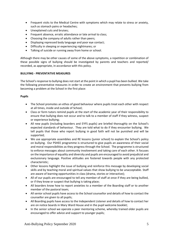- Frequent visits to the Medical Centre with symptoms which may relate to stress or anxiety, such as stomach pains or headaches;
- Unexplained cuts and bruises;
- Frequent absence, erratic attendance or late arrival to class;
- Choosing the company of adults rather than peers;
- Displaying repressed body language and poor eye contact;
- Difficulty in sleeping or experiencing nightmares; or
- Talking of suicide or running away from home or school.

Although there may be other causes of some of the above symptoms, a repetition or combination of these possible signs of bullying should be investigated by parents and teachers and reported/ recorded, as appropriate, in accordance with this policy.

# **BULLYING - PREVENTATIVE MEASURES**

The School's response to bullying does not start at the point in which a pupil has been bullied. We take the following preventative measures in order to create an environment that prevents bullying from becoming a problem at the School in the first place:

# **Pupils**

- The School promotes an ethos of good behaviour where pupils treat each other with respect at all times, inside and outside of School;
- Class or form tutors remind pupils at the start of the academic year of their responsibility to ensure that bullying does not occur and to talk to a member of staff if they witness, suspect or experience bullying;
- All new pupils (including boarders and EYFS pupils) are briefed thoroughly on the School's expected standards of behaviour. They are told what to do if they encounter bullying. We tell pupils that those who report bullying in good faith will not be punished and will be supported;
- We use appropriate assemblies and RE lessons (junior school) to explain the School's policy on bullying. Our PSHEE programme is structured to give pupils an awareness of their social and moral responsibilities as they progress through the School. The programme is structured to enforce messages about community involvement and taking care of each other. It focuses on the importance of equality and diversity and pupils are encouraged to avoid prejudicial and exclusionary language. Positive attitudes are fostered towards people with any protected characteristic;
- Other lessons highlight the issue of bullying and reinforce this message by developing social skills and by teaching moral and spiritual values that show bullying to be unacceptable. Staff are aware of learning opportunities in class (drama, stories or interactive);
- All of our pupils are encouraged to tell any member of staff at once if they are being bullied, or if they know or suspect that bullying is taking place;
- All boarders know how to report anxieties to a member of the Boarding staff or to another member of the pastoral team;
- All senior school pupils have access to the School counsellor and details of how to contact the counsellor are given to all pupils;
- All Boarding pupils have access to the Independent Listener and details of how to contact her are on notice boards in Mary Ward House and in the pupil welcome booklet;
- In the senior school we operate a peer mentoring scheme, whereby trained older pupils are encouraged to offer advice and support to younger pupils;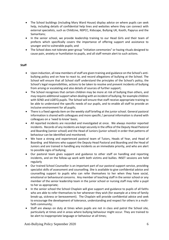- The School buildings (including Mary Ward House) display advice on where pupils can seek help, including details of confidential help lines and websites where they can connect with external specialists, such as ChildLine, NSPCC, Kidscape, Bullying UK, Kooth, Papyrus and the Samaritans;
- In the senior school, we provide leadership training to our Head Girls and their team of prefects which specifically covers the importance of offering support and assistance to younger and to vulnerable pupils; and
- The School does not tolerate peer-group "initiation ceremonies" or hazing rituals designed to cause pain, anxiety or humiliation to pupils, and all staff remain alert to such actions.

# **Staff**

- Upon induction, all new members of staff are given training and guidance on the School's antibullying policy and on how to react to, and record allegations of bullying at the School. The School will ensure that all School staff understand the principles of the School's policy, the School's legal responsibilities, actions to be taken to resolve and prevent incidents of bullying from arising or escalating and also details of sources of further support;
- The School recognises that certain children may be more at risk of bullying than others, and may require additional support when dealing with an incident of bullying, for example children with SEND and LGBTQ pupils. The School will ensure that staff receive appropriate training to be able to understand the specific needs of our pupils, and to enable all staff to provide an inclusive environment for all pupils;
- There is a fixed agenda item on the weekly staff briefing at the junior school. General pastoral information is shared with colleagues and more specific / personal information is shared with colleagues on a 'need to know' basis;
- All reported incidents are recorded and investigated at once. We always monitor reported incidents. Records of any incidents are kept securely in the office of the Deputy Head Pastoral and Boarding (senior school) and the Head of Juniors (junior school) in order that patterns of behaviour can be identified and monitored;
- We have a strong and experienced pastoral team of Tutors, Heads of Year, and Head of Boarding and Matrons who support the Deputy Head Pastoral and Boarding and the Head of Juniors and are trained in handling any incidents as an immediate priority, and who are alert to possible signs of bullying;
- Our pastoral team gives support and guidance to other staff on handling and reporting incidents, and on the follow-up work with both victims and bullies. INSET sessions are held regularly
- Our trained School Counsellor is an important part of our pastoral support service, providing specialist skills of assessment and counselling. She is available to give confidential advice and counselling support to pupils who can refer themselves to her when they have social, emotional or behavioural concerns. Any member of teaching staff in the senior school or any member of the senior leadership team in the junior school or nursing staff may refer a pupil to her as appropriate;
- In the senior school the School Chaplain will give support and guidance to pupils of all faiths who are able to refer themselves to her whenever they wish (for example at a time of family break-up, sickness or bereavement). The Chaplain will provide confidential advice and seek to encourage the development of tolerance, understanding and respect for others in a multifaith community;
- Staff are always on duty at times when pupils are not in class and patrol the School site, particularly at times and in areas where bullying behaviour might occur. They are trained to be alert to inappropriate language or behaviour at all times;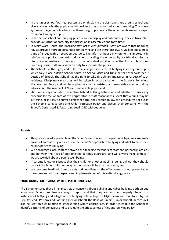- In the junior school 'worried' posters are on display in the classrooms and around school and give advice on who the pupils should speak to if they are worried about something. The House system at the junior school ensures there is a group whereby the older pupils are encouraged to support younger pupils;
- In the senior school anti-bullying posters are on display and anti-bullying week in November provides a further opportunity for discussion in assemblies and form time;
- In Mary Ward House, the Boarding staff act *in loco parentis.* Staff are aware that boarding houses provide more opportunities for bullying and are therefore always vigilant and alert to signs of issues with or between boarders. The informal house environment is important in reinforcing a pupil's standards and values, providing the opportunity for friendly, informal discussion of matters of concern to the individual pupil outside the formal classroom. Boarding house staff are always on duty to supervise the pupils;
- The School has the right, and duty, to investigate incidents of bullying involving our pupils which take place outside School hours, on School visits and trips, or that otherwise occur outside of School. The School has the right to take disciplinary measures in respect of such incidents. Disciplinary measures will be taken in accordance with the School's Behaviour Management Policy and will be applied in a fair, consistent and reasonable manner, taking into account the needs of SEND and vulnerable pupils; and
- Staff will always consider the motive behind bullying behaviour and whether it raises any concerns for the welfare of the perpetrator. If staff reasonably suspect that a pupil may be suffering, or is likely to suffer significant harm, they should follow the procedures set out in the School's Safeguarding and Child Protection Policy and discuss their concerns with the School's Designated Safeguarding Lead (DSL) without delay.

# **Parents**

- This policy is readily available on the School's website and on request which parents are made aware of so that they are clear on the School's approach to bullying and what to do if their child experiences bullying;
- We encourage close contact between the teaching members of staff and parents/guardians and between the Head of Boarding and parents/ guardians, and will always make contact if we are worried about a pupil's well-being;
- If parents know or suspect that their child, or another pupil, is being bullied, they should contact the School without delay. All concerns will be taken seriously; and
- We welcome feedback from parents and guardians on the effectiveness of our preventative measures and all other aspects and implementation of this anti-bullying policy.

## **PROCEDURES FOR DEALING WITH REPORTED BULLYING**

The School ensures that all instances of, or concerns about bullying and cyber-bullying, both on and away from School premises are easy to report and that they are recorded properly. Records of instances of bullying and allegations of bullying will be kept on MyConcern and monitored by the Deputy Head - Pastoral and Boarding (senior school) the Head of Juniors (junior school). Records will also be kept on files relating to safeguarding where appropriate, in order to enable the School to identify patterns of behaviour and to evaluate the effectiveness of this anti-bullying policy.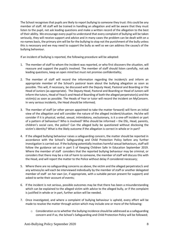The School recognises that pupils are likely to report bullying to someone they trust: this could be any member of staff. All staff will be trained in handling an allegation and will be aware that they must listen to the pupil, not ask leading questions and make a written record of the allegation to the best of their ability. We encourage every pupil to understand that every complaint of bullying will be taken seriously, they will receive support and advice and in many cases the problem can be dealt with on a no-names basis, the primary aim will be for the bullying to stop not the punishment of the bully unless this is necessary and we may need to support the bully as well so we can address the cause/s of the bullying behaviour.

If an incident of bullying is reported, the following procedure will be adopted:

- 1. The member of staff to whom the incident was reported, or who first discovers the situation, will reassure and support the pupil/s involved. The member of staff should listen carefully, not ask leading questions, keep an open mind but must not promise confidentiality;
- 2. The member of staff will record the information regarding the incident/s and inform an appropriate member of the School's pastoral team about the bullying allegation as soon as possible. This will, if necessary, be discussed with the Deputy Head, Pastoral and Boarding or the Head of Juniors (as appropriate). The Deputy Head, Pastoral and Boarding or Head of Juniors will inform the tutors, Head of Year/s and Head of Boarding of both the alleged perpetrator(s) and the victim(s) as soon as possible. The Heads of Year or tutor will record the incident on MyConcern. In very serious incidents, the Head should be informed;
- 3. The member of staff (or other person appointed to take the matter forward) will form an initial view of the allegation and will consider the nature of the alleged incident/situation. He/she will consider if it is physical, verbal, sexual, intimidatory, exclusionary, is it a one-off incident or part of a pattern of behaviour? Who is involved? Who should be informed – the DSL, Head, parents, children's social care, the police? Can the alleged bully be questioned without disclosing the victim's identity? What is the likely outcome if the allegation is correct in whole or in part?
- 4. If the alleged bullying behaviour raises a safeguarding concern, the matter should be reported in accordance with the School's Safeguarding and Child Protection Policy before any further investigation is carried out. If the bullying potentially involves harmful sexual behaviours, staff will follow the guidance set out in part 5 of Keeping Children Safe In Education September 2019. Where the member of staff considers that the reported bullying behaviour may be criminal, or considers that there may be a risk of harm to someone, the member of staff will discuss this with the Head, and will report the matter to the Police without delay if considered necessary;
- 5. Where there are no safeguarding concerns as above, the victim and the alleged perpetrator/s and any witness/es will each be interviewed individually by the member of staff or another delegated member of staff on her own (or, if appropriate, with a suitable person present for support) and asked to write their account of events;
- 6. If the incident is not serious, possible outcomes may be that there has been a misunderstanding which can be explained to the alleged victim with advice to the alleged bully, or if the complaint is justified in whole or in part, further action will be needed.
- 7. Once investigated, and where a complaint of bullying behaviour is upheld, every effort will be made to resolve the matter through action which may include one or more of the following:
	- $\circ$  Consideration as to whether the bullying incidence should be addressed as a safeguarding concern and if so, the School's Safeguarding and Child Protection Policy will be followed;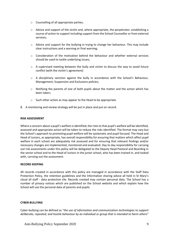- o Counselling of all appropriate parties;
- $\circ$  Advice and support of the victim and, where appropriate, the perpetrator, establishing a course of action to support including support from the School Counsellor or from external services;
- o Advice and support for the bullying in trying to change her behaviour. This may include clear instructions and a warning or final warning;
- $\circ$  Consideration of the motivation behind the behaviour and whether external services should be used to tackle underlying issues;
- $\circ$  A supervised meeting between the bully and victim to discuss the way to avoid future conflict (with the victim's agreement)
- o A disciplinary sanction against the bully in accordance with the School's Behaviour, Management, Suspension and Exclusions policies;
- $\circ$  Notifying the parents of one of both pupils about the matter and the action which has been taken;
- o Such other action as may appear to the Head to be appropriate.
- 8. A monitoring and review strategy will be put in place and put on record.

#### **RISK ASSESSMENT**

Where a concern about a pupil's welfare is identified, the risks to that pupil's welfare will be identified, assessed and appropriate action will be taken to reduce the risks identified. The format may vary but the School's approach to promoting pupil welfare will be systematic and pupil focused. The Head and Head of Juniors, as appropriate, has overall responsibility for ensuring that matters which affect pupil welfare in each school are adequately risk assessed and for ensuring that relevant findings and/or necessary changes are implemented, monitored and evaluated. Day to day responsibility for carrying out risk assessments under this policy will be delegated to the Deputy Head Pastoral and Boarding in the senior school and to the Head of Juniors in the junior school, who has been trained in, and tasked with, carrying out the assessment.

## **RECORD KEEPING**

All records created in accordance with this policy are managed in accordance with the Staff Data Protection Policy, the retention guidelines and the Information sharing advice all held in St Mary's cloud all staff - data protection tile. Records created may contain personal data. The School has a number of privacy notices which are published on the School website and which explain how the School will use the personal data of parents and pupils.

## **CYBER-BULLYING**

Cyber-bullying can be defined as "*the use of information and communication technologies to support deliberate, repeated, and hostile behaviour by an individual or group that is intended to harm others*"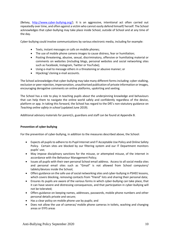(Belsey, [http://www.cyber-bullying.org/\)](http://www.cyberbullying.org/). It is an aggressive, intentional act often carried out repeatedly over time, and often against a victim who cannot easily defend himself/ herself. The School acknowledges that cyber-bullying may take place inside School, outside of School and at any time of the day.

Cyber-bullying could involve communications by various electronic media, including for example:

- Texts, instant messages or calls on mobile phones;
- The use of mobile phone camera images to cause distress, fear or humiliation;
- Posting threatening, abusive, sexual, discriminatory, offensive or humiliating material or comments on websites (including blogs, personal websites and social networking sites such as Facebook, Instagram, Twitter or YouTube);
- Using e-mail to message others in a threatening or abusive manner; or
- Hijacking/ cloning e-mail accounts.

The School acknowledges that cyber-bullying may take many different forms including: cyber-stalking, exclusion or peer rejection, impersonation, unauthorised publication of private information or images, encouraging derogative comments on online platforms, upskirting and sexting.

The School has a role to play in teaching pupils about the underpinning knowledge and behaviours that can help them to navigate the online world safely and confidently regardless of the device, platform or app. In taking this forward, the School has regard to the DfE's non-statutory guidance on *Teaching online safety in school* (updated June 2019).

Additional advisory materials for parent/s, guardians and staff can be found at Appendix B.

# **Prevention of cyber-bullying**

For the prevention of cyber-bullying, in addition to the measures described above, the School:

- Expects all pupils to adhere to its Pupil Internet and IT Acceptable Use Policy and Online Safety Policy. Certain sites are blocked by our filtering system and our IT Department monitors pupils' use;
- May impose disciplinary sanctions for the misuse, or attempted misuse, of the internet in accordance with the Behaviour Management Policy;
- Issues all pupils with their own personal School email address. Access to all social media sites and personal email sites such as "Gmail" is not allowed from School computers/ tablets/devices inside the School;
- Offers guidance on the safe use of social networking sites and cyber-bullying in PSHEE lessons, which covers blocking, removing contacts from "friend" lists and sharing their personal data;
- Ensures its pupils are aware of the various forms in which cyber-bullying can take place, that it can have severe and distressing consequences, and that participation in cyber-bullying will not be tolerated;
- Offers guidance on keeping names, addresses, passwords, mobile phone numbers and other personal details private and secure;
- Has a clear policy on mobile phone use by pupils; and
- Does not allow the use of cameras/ mobile phone cameras in toilets, washing and changing areas or EYFS areas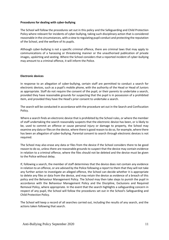## **Procedures for dealing with cyber-bullying**

The School will follow the procedures set out in this policy and the Safeguarding and Child Protection Policy where relevant for incidents of cyber-bullying, taking such disciplinary action that is considered reasonable in the circumstances, with a view to regulating pupil conduct and protecting the reputation of the School, and the welfare of its pupils.

Although cyber-bullying is not a specific criminal offence, there are criminal laws that may apply to communications of a harassing or threatening manner or the unauthorised publication of private images, upskirting and sexting. Where the School considers that a reported incident of cyber-bullying may amount to a criminal offence, it will inform the Police.

#### **Electronic devices**

In response to an allegation of cyber-bullying, certain staff are permitted to conduct a search for electronic devices, such as a pupil's mobile phone, with the authority of the Head or Head of Juniors as appropriate. Staff do not require the consent of the pupil, or their parents to undertake a search, provided they have reasonable grounds for suspecting that the pupil is in possession of a prohibited item, and provided they have the Head's prior consent to undertake a search.

The search will be conducted in accordance with the procedure set out in the Search and Confiscation Policy.

Where a search finds an electronic device that is prohibited by the School rules, or where the member of staff undertaking the search reasonably suspects that the electronic device has been, or is likely to be, used to commit an offence or cause personal injury or damage to property, the School may examine any data or files on the device, where there is good reason to do so, for example, where there has been an allegation of cyber-bullying. Parental consent to search through electronic devices is not required.

The School may also erase any data or files from the device if the School considers there to be good reason to do so, unless there are reasonable grounds to suspect that the device may contain evidence in relation to a criminal offence, where the files should not be deleted and the device must be given to the Police without delay.

If, following a search, the member of staff determines that the device does not contain any evidence in relation to an offence, or are advised by the Police following a report to them that they will not take any further action to investigate an alleged offence, the School can decide whether it is appropriate to delete any files or data from the device, and may retain the device as evidence of a breach of this policy and the Behaviour Management Policy. The School may then take steps to punish the pupil in accordance with the Behaviour Management Policy and the Discipline, Exclusions and Required Removal Policy, where appropriate. In the event that the search highlights a safeguarding concern in respect of any pupil, the School will follow the procedures set out in the School's Safeguarding and Child Protection Policy.

The School will keep a record of all searches carried out, including the results of any search, and the actions taken following that search.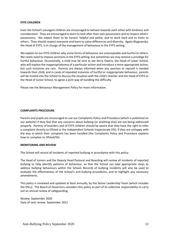#### **EYFS CHILDREN**

Even the School's youngest children are encouraged to behave towards each other with kindness and consideration. They are encouraged to learn to look after their own possessions and to respect others' possessions. We expect them to be honest, helpful and polite, and to work hard and to listen to others. They should respect everyone and learn to value differences and diversity. Agata Wygnanska, the Head of EYFS, is in charge of the management of behaviour in the EYFS setting.

We explain to our EYFS children why some forms of behaviour are unacceptable and hurtful to others. We rarely need to impose sanctions in the EYFS setting; but sometimes we may remove a privilege for hurtful behaviour. Occasionally, a child may be sent to see Kerry Owens, the Head of Lower School, who will explain the inappropriateness of a particular action and introduce a more appropriate action; but such instances are rare. Parents are always informed when any sanction or reproof is needed towards their child, and in cases of repeated instances of hurtful or inappropriate behaviour, parents will be invited into the School to discuss the situation with the child's teacher and the Head of EYFS or the Head of Junior School, to agree a joint way of handling the difficulty.

Please see the Behaviour Management Policy for more information.

### **COMPLAINTS PROCEDURE**

Parents and pupils are encouraged to use our Complaints Policy and Procedure (which is published on our website) if they feel that any concerns about bullying (or anything else) are not being addressed properly. Parents of boarders and of EYFS children should be aware that they have the right to refer a complaint directly to Ofsted or the Independent Schools Inspectorate (ISI), if they are unhappy with the way in which their complaint has been handled (the Complaints Policy and Procedure explains how to complain to Ofsted/ISI).

## **MONITORING AND REVIEW**

The School will record all incidents of reported bullying in accordance with this policy.

The Head of Juniors and the Deputy Head Pastoral and Boarding will review all incidents of reported bullying to help identify patterns of behaviour, so that the School can take appropriate steps to address bullying behaviours within the School. Records of bullying incidents will also be used to evaluate the effectiveness of the School's anti-bullying procedures, and to highlight any necessary amendments.

This policy is reviewed and updated at least annually, by the Senior Leadership Team (which includes the DSLs). The Board of Governors considers this policy as part of its collective responsibility to carry out an annual review of safeguarding.

Review: September 2020 Date of next review: September 2021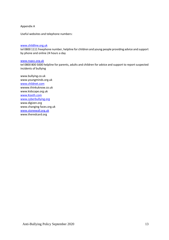Appendix A

Useful websites and telephone numbers:

### [www.childline.org.uk](http://www.childline.org.uk/)

tel 0800 1111 freephone number, helpline for children and young people providing advice and support by phone and online 24 hours a day

#### [www.nspcc.org.uk](http://www.nspcc.org.uk/)

tel 0800 800 5000 helpline for parents, adults and children for advice and support to report suspected incidents of bullying

www.bullying.co.uk www.youngminds.org.uk [www.childnet.com](http://www.childnet.com/) wwww.thinkuknow.co.uk www.kidscape.org.uk [www.Kooth.com](http://www.kooth.com/) [www.cyberbullying.org](http://www.cyberbullying.org/) www.digizen.org www.changing faces.org.uk [www.stonewall.org.uk](http://www.stonewall.org.uk/) www.theredcard.org